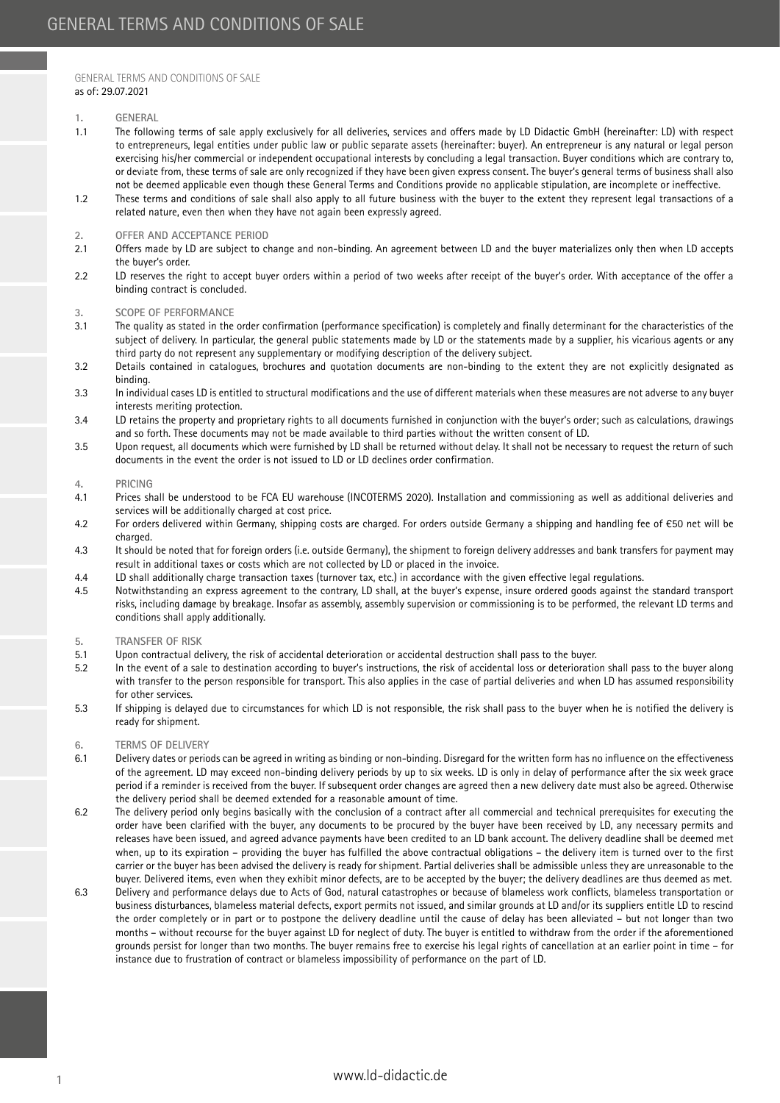# GENERAL TERMS AND CONDITIONS OF SALE as of: 29.07.2021

### **1. GENERAL**

- 1.1 The following terms of sale apply exclusively for all deliveries, services and offers made by LD Didactic GmbH (hereinafter: LD) with respect to entrepreneurs, legal entities under public law or public separate assets (hereinafter: buyer). An entrepreneur is any natural or legal person exercising his/her commercial or independent occupational interests by concluding a legal transaction. Buyer conditions which are contrary to, or deviate from, these terms of sale are only recognized if they have been given express consent. The buyer's general terms of business shall also not be deemed applicable even though these General Terms and Conditions provide no applicable stipulation, are incomplete or ineffective.
- 1.2 These terms and conditions of sale shall also apply to all future business with the buyer to the extent they represent legal transactions of a related nature, even then when they have not again been expressly agreed.

## **2. OFFER AND ACCEPTANCE PERIOD**

- 2.1 Offers made by LD are subject to change and non-binding. An agreement between LD and the buyer materializes only then when LD accepts the buyer's order.
- 2.2 LD reserves the right to accept buyer orders within a period of two weeks after receipt of the buyer's order. With acceptance of the offer a binding contract is concluded.

# **3. SCOPE OF PERFORMANCE**

- 3.1 The quality as stated in the order confirmation (performance specification) is completely and finally determinant for the characteristics of the subject of delivery. In particular, the general public statements made by LD or the statements made by a supplier, his vicarious agents or any third party do not represent any supplementary or modifying description of the delivery subject.
- 3.2 Details contained in catalogues, brochures and quotation documents are non-binding to the extent they are not explicitly designated as binding.
- 3.3 In individual cases LD is entitled to structural modifications and the use of different materials when these measures are not adverse to any buyer interests meriting protection.
- 3.4 LD retains the property and proprietary rights to all documents furnished in conjunction with the buyer's order; such as calculations, drawings and so forth. These documents may not be made available to third parties without the written consent of LD.
- 3.5 Upon request, all documents which were furnished by LD shall be returned without delay. It shall not be necessary to request the return of such documents in the event the order is not issued to LD or LD declines order confirmation.

### **4. PRICING**

- 4.1 Prices shall be understood to be FCA EU warehouse (INCOTERMS 2020). Installation and commissioning as well as additional deliveries and services will be additionally charged at cost price.
- 4.2 For orders delivered within Germany, shipping costs are charged. For orders outside Germany a shipping and handling fee of €50 net will be charged.
- 4.3 It should be noted that for foreign orders (i.e. outside Germany), the shipment to foreign delivery addresses and bank transfers for payment may result in additional taxes or costs which are not collected by LD or placed in the invoice.
- 4.4 LD shall additionally charge transaction taxes (turnover tax, etc.) in accordance with the given effective legal regulations.
- 4.5 Notwithstanding an express agreement to the contrary, LD shall, at the buyer's expense, insure ordered goods against the standard transport risks, including damage by breakage. Insofar as assembly, assembly supervision or commissioning is to be performed, the relevant LD terms and conditions shall apply additionally.

# **5. TRANSFER OF RISK**

- 5.1 Upon contractual delivery, the risk of accidental deterioration or accidental destruction shall pass to the buyer.
- 5.2 In the event of a sale to destination according to buyer's instructions, the risk of accidental loss or deterioration shall pass to the buyer along with transfer to the person responsible for transport. This also applies in the case of partial deliveries and when LD has assumed responsibility for other services.
- 5.3 If shipping is delayed due to circumstances for which LD is not responsible, the risk shall pass to the buyer when he is notified the delivery is ready for shipment.

### **6. TERMS OF DELIVERY**

- 6.1 Delivery dates or periods can be agreed in writing as binding or non-binding. Disregard for the written form has no influence on the effectiveness of the agreement. LD may exceed non-binding delivery periods by up to six weeks. LD is only in delay of performance after the six week grace period if a reminder is received from the buyer. If subsequent order changes are agreed then a new delivery date must also be agreed. Otherwise the delivery period shall be deemed extended for a reasonable amount of time.
- 6.2 The delivery period only begins basically with the conclusion of a contract after all commercial and technical prerequisites for executing the order have been clarified with the buyer, any documents to be procured by the buyer have been received by LD, any necessary permits and releases have been issued, and agreed advance payments have been credited to an LD bank account. The delivery deadline shall be deemed met when, up to its expiration – providing the buyer has fulfilled the above contractual obligations – the delivery item is turned over to the first carrier or the buyer has been advised the delivery is ready for shipment. Partial deliveries shall be admissible unless they are unreasonable to the buyer. Delivered items, even when they exhibit minor defects, are to be accepted by the buyer; the delivery deadlines are thus deemed as met.
- 6.3 Delivery and performance delays due to Acts of God, natural catastrophes or because of blameless work conflicts, blameless transportation or business disturbances, blameless material defects, export permits not issued, and similar grounds at LD and/or its suppliers entitle LD to rescind the order completely or in part or to postpone the delivery deadline until the cause of delay has been alleviated – but not longer than two months – without recourse for the buyer against LD for neglect of duty. The buyer is entitled to withdraw from the order if the aforementioned grounds persist for longer than two months. The buyer remains free to exercise his legal rights of cancellation at an earlier point in time – for instance due to frustration of contract or blameless impossibility of performance on the part of LD.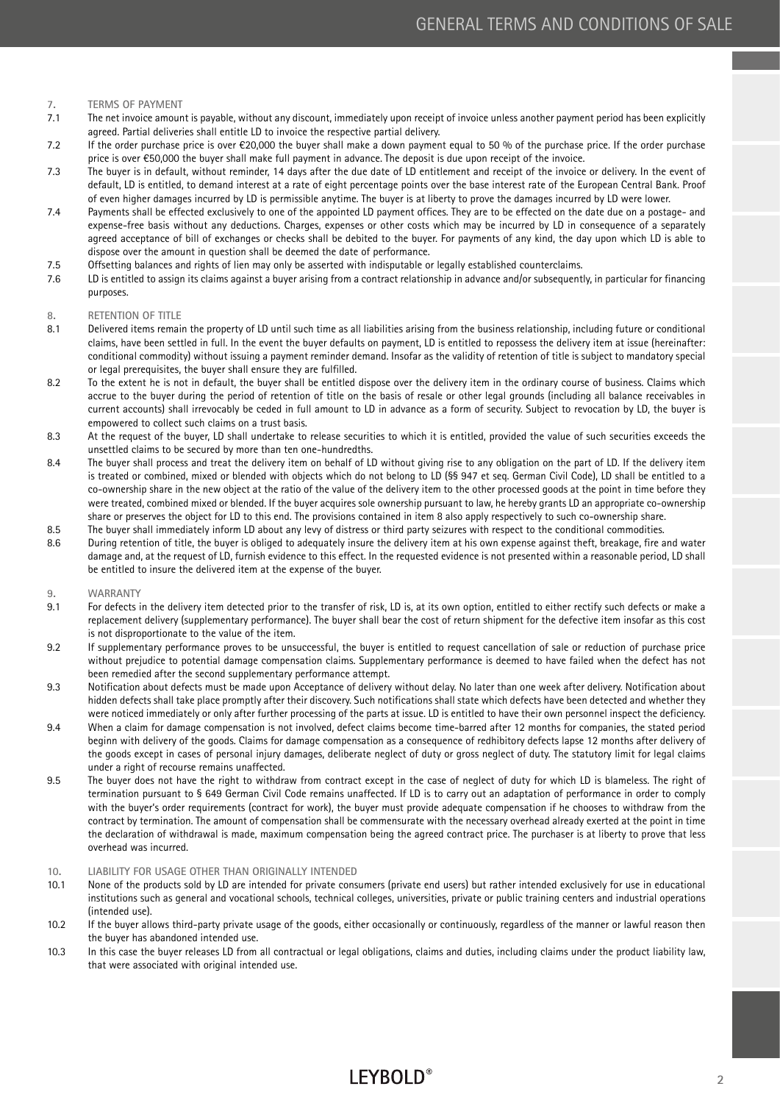### **7. TERMS OF PAYMENT**

- 7.1 The net invoice amount is payable, without any discount, immediately upon receipt of invoice unless another payment period has been explicitly agreed. Partial deliveries shall entitle LD to invoice the respective partial delivery.
- 7.2 If the order purchase price is over  $\epsilon$ 20,000 the buyer shall make a down payment equal to 50 % of the purchase price. If the order purchase price is over €50,000 the buyer shall make full payment in advance. The deposit is due upon receipt of the invoice.
- 7.3 The buyer is in default, without reminder, 14 days after the due date of LD entitlement and receipt of the invoice or delivery. In the event of default, LD is entitled, to demand interest at a rate of eight percentage points over the base interest rate of the European Central Bank. Proof of even higher damages incurred by LD is permissible anytime. The buyer is at liberty to prove the damages incurred by LD were lower.
- 7.4 Payments shall be effected exclusively to one of the appointed LD payment offices. They are to be effected on the date due on a postage- and expense-free basis without any deductions. Charges, expenses or other costs which may be incurred by LD in consequence of a separately agreed acceptance of bill of exchanges or checks shall be debited to the buyer. For payments of any kind, the day upon which LD is able to dispose over the amount in question shall be deemed the date of performance.
- 7.5 Offsetting balances and rights of lien may only be asserted with indisputable or legally established counterclaims.
- 7.6 LD is entitled to assign its claims against a buyer arising from a contract relationship in advance and/or subsequently, in particular for financing purposes.

### **8. RETENTION OF TITLE**

- 8.1 Delivered items remain the property of LD until such time as all liabilities arising from the business relationship, including future or conditional claims, have been settled in full. In the event the buyer defaults on payment, LD is entitled to repossess the delivery item at issue (hereinafter: conditional commodity) without issuing a payment reminder demand. Insofar as the validity of retention of title is subject to mandatory special or legal prerequisites, the buyer shall ensure they are fulfilled.
- 8.2 To the extent he is not in default, the buyer shall be entitled dispose over the delivery item in the ordinary course of business. Claims which accrue to the buyer during the period of retention of title on the basis of resale or other legal grounds (including all balance receivables in current accounts) shall irrevocably be ceded in full amount to LD in advance as a form of security. Subject to revocation by LD, the buyer is empowered to collect such claims on a trust basis.
- 8.3 At the request of the buyer, LD shall undertake to release securities to which it is entitled, provided the value of such securities exceeds the unsettled claims to be secured by more than ten one-hundredths.
- 8.4 The buyer shall process and treat the delivery item on behalf of LD without giving rise to any obligation on the part of LD. If the delivery item is treated or combined, mixed or blended with objects which do not belong to LD (§§ 947 et seq. German Civil Code), LD shall be entitled to a co-ownership share in the new object at the ratio of the value of the delivery item to the other processed goods at the point in time before they were treated, combined mixed or blended. If the buyer acquires sole ownership pursuant to law, he hereby grants LD an appropriate co-ownership share or preserves the object for LD to this end. The provisions contained in item 8 also apply respectively to such co-ownership share.
- 8.5 The buyer shall immediately inform LD about any levy of distress or third party seizures with respect to the conditional commodities.
- 8.6 During retention of title, the buyer is obliged to adequately insure the delivery item at his own expense against theft, breakage, fire and water damage and, at the request of LD, furnish evidence to this effect. In the requested evidence is not presented within a reasonable period, LD shall be entitled to insure the delivered item at the expense of the buyer.

## **9. WARRANTY**

- 9.1 For defects in the delivery item detected prior to the transfer of risk, LD is, at its own option, entitled to either rectify such defects or make a replacement delivery (supplementary performance). The buyer shall bear the cost of return shipment for the defective item insofar as this cost is not disproportionate to the value of the item.
- 9.2 If supplementary performance proves to be unsuccessful, the buyer is entitled to request cancellation of sale or reduction of purchase price without prejudice to potential damage compensation claims. Supplementary performance is deemed to have failed when the defect has not been remedied after the second supplementary performance attempt.
- 9.3 Notification about defects must be made upon Acceptance of delivery without delay. No later than one week after delivery. Notification about hidden defects shall take place promptly after their discovery. Such notifications shall state which defects have been detected and whether they were noticed immediately or only after further processing of the parts at issue. LD is entitled to have their own personnel inspect the deficiency.
- 9.4 When a claim for damage compensation is not involved, defect claims become time-barred after 12 months for companies, the stated period beginn with delivery of the goods. Claims for damage compensation as a consequence of redhibitory defects lapse 12 months after delivery of the goods except in cases of personal injury damages, deliberate neglect of duty or gross neglect of duty. The statutory limit for legal claims under a right of recourse remains unaffected.
- 9.5 The buyer does not have the right to withdraw from contract except in the case of neglect of duty for which LD is blameless. The right of termination pursuant to § 649 German Civil Code remains unaffected. If LD is to carry out an adaptation of performance in order to comply with the buyer's order requirements (contract for work), the buyer must provide adequate compensation if he chooses to withdraw from the contract by termination. The amount of compensation shall be commensurate with the necessary overhead already exerted at the point in time the declaration of withdrawal is made, maximum compensation being the agreed contract price. The purchaser is at liberty to prove that less overhead was incurred.

### **10. LIABILITY FOR USAGE OTHER THAN ORIGINALLY INTENDED**

- 10.1 None of the products sold by LD are intended for private consumers (private end users) but rather intended exclusively for use in educational institutions such as general and vocational schools, technical colleges, universities, private or public training centers and industrial operations (intended use).
- 10.2 If the buyer allows third-party private usage of the goods, either occasionally or continuously, regardless of the manner or lawful reason then the buyer has abandoned intended use.
- 10.3 In this case the buyer releases LD from all contractual or legal obligations, claims and duties, including claims under the product liability law, that were associated with original intended use.

# **LEYBOLD®**